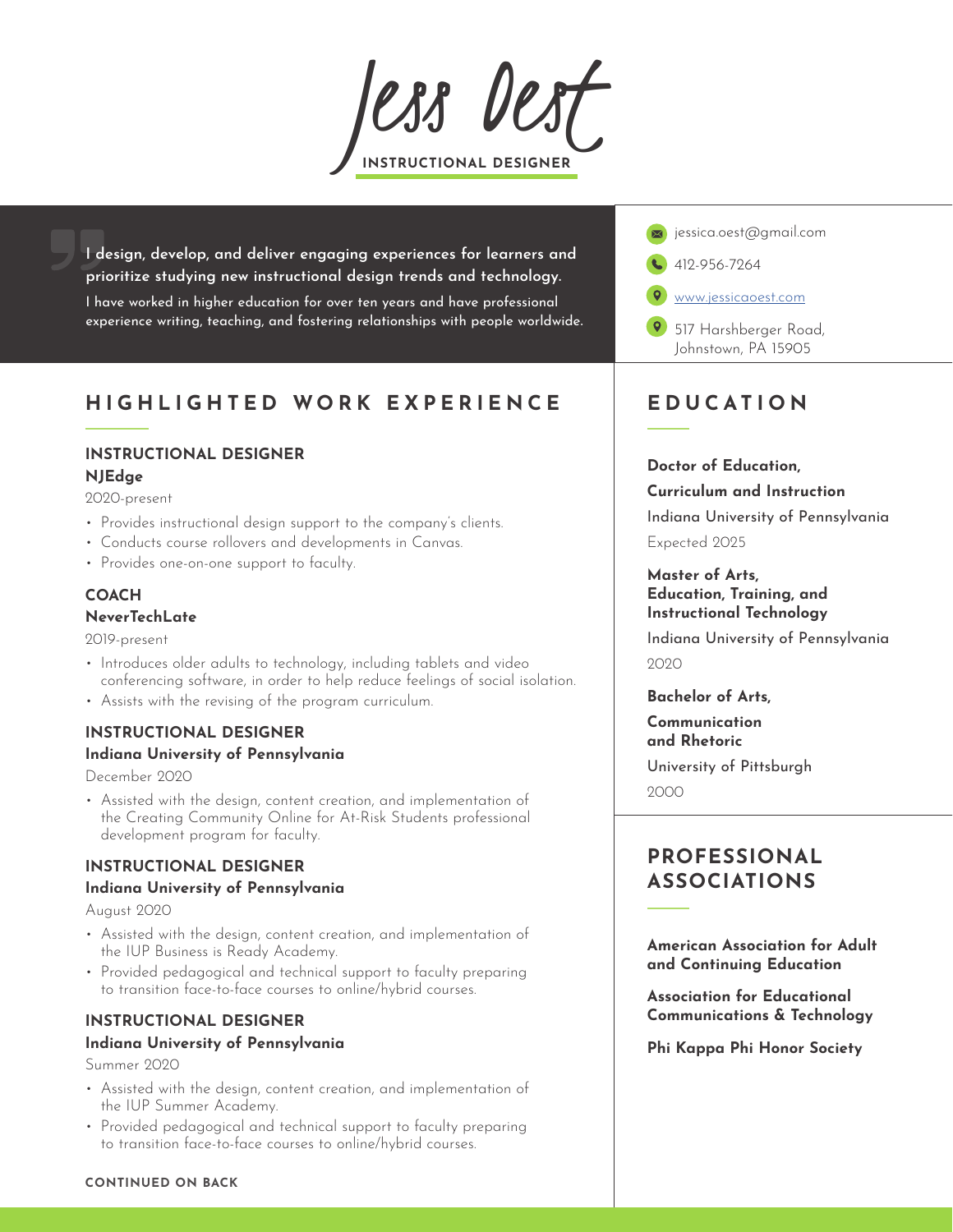*JESS DES* 

I design, develop, and deliver engaging experiences for learners and prioritize studying new instructional design trends and technology.

I have worked in higher education for over ten years and have professional experience writing, teaching, and fostering relationships with people worldwide.

# HIGHLIGHTED WORK EXPERIENCE

# INSTRUCTIONAL DESIGNER

### NJEdge

2020-present

- Provides instructional design support to the company's clients.
- Conducts course rollovers and developments in Canvas.
- Provides one-on-one support to faculty.

# **COACH**

#### NeverTechLate

2019-present

- Introduces older adults to technology, including tablets and video conferencing software, in order to help reduce feelings of social isolation.
- Assists with the revising of the program curriculum.

# INSTRUCTIONAL DESIGNER

### Indiana University of Pennsylvania

December 2020

• Assisted with the design, content creation, and implementation of the Creating Community Online for At-Risk Students professional development program for faculty.

## INSTRUCTIONAL DESIGNER

#### Indiana University of Pennsylvania

August 2020

- Assisted with the design, content creation, and implementation of the IUP Business is Ready Academy.
- Provided pedagogical and technical support to faculty preparing to transition face-to-face courses to online/hybrid courses.

# INSTRUCTIONAL DESIGNER

### Indiana University of Pennsylvania

Summer 2020

- Assisted with the design, content creation, and implementation of the IUP Summer Academy.
- Provided pedagogical and technical support to faculty preparing to transition face-to-face courses to online/hybrid courses.



# EDUCATION

#### Doctor of Education,

#### Curriculum and Instruction

Indiana University of Pennsylvania

Expected 2025

#### Master of Arts, Education, Training, and Instructional Technology

Indiana University of Pennsylvania  $2020$ 

Bachelor of Arts,

Communication and Rhetoric

University of Pittsburgh 2000

# PROFESSIONAL ASSOCIATIONS

American Association for Adult and Continuing Education

Association for Educational Communications & Technology

Phi Kappa Phi Honor Society

#### CONTINUED ON BACK